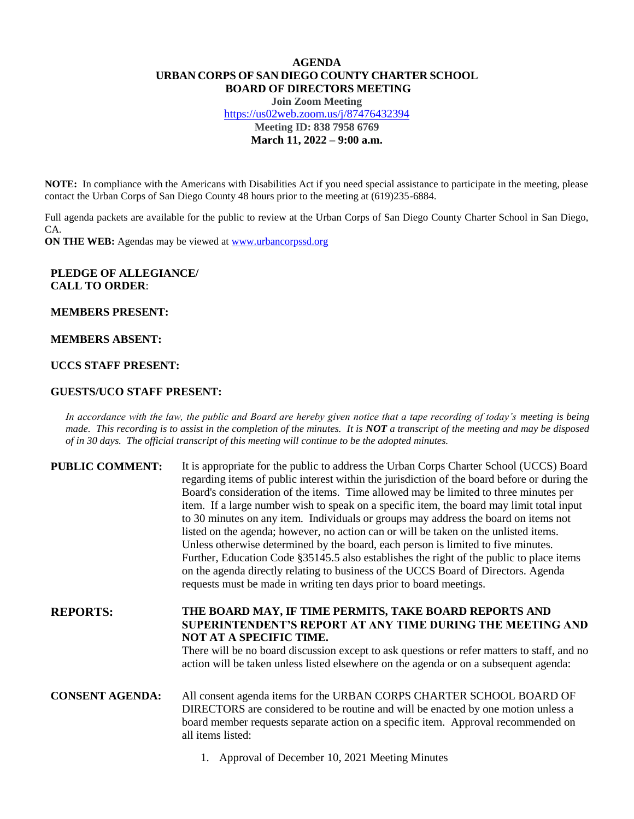# **AGENDA URBAN CORPS OF SAN DIEGO COUNTY CHARTER SCHOOL BOARD OF DIRECTORS MEETING**

**Join Zoom Meeting** <https://us02web.zoom.us/j/87476432394> **Meeting ID: 838 7958 6769 March 11, 2022 – 9:00 a.m.**

**NOTE:** In compliance with the Americans with Disabilities Act if you need special assistance to participate in the meeting, please contact the Urban Corps of San Diego County 48 hours prior to the meeting at (619)235-6884.

Full agenda packets are available for the public to review at the Urban Corps of San Diego County Charter School in San Diego, CA.

**ON THE WEB:** Agendas may be viewed at **www.urbancorpssd.org** 

## **PLEDGE OF ALLEGIANCE/ CALL TO ORDER**:

**MEMBERS PRESENT:**

#### **MEMBERS ABSENT:**

# **UCCS STAFF PRESENT:**

## **GUESTS/UCO STAFF PRESENT:**

*In accordance with the law, the public and Board are hereby given notice that a tape recording of today's meeting is being made. This recording is to assist in the completion of the minutes. It is NOT a transcript of the meeting and may be disposed of in 30 days. The official transcript of this meeting will continue to be the adopted minutes.*

| <b>PUBLIC COMMENT:</b> | It is appropriate for the public to address the Urban Corps Charter School (UCCS) Board<br>regarding items of public interest within the jurisdiction of the board before or during the<br>Board's consideration of the items. Time allowed may be limited to three minutes per<br>item. If a large number wish to speak on a specific item, the board may limit total input<br>to 30 minutes on any item. Individuals or groups may address the board on items not<br>listed on the agenda; however, no action can or will be taken on the unlisted items.<br>Unless otherwise determined by the board, each person is limited to five minutes.<br>Further, Education Code §35145.5 also establishes the right of the public to place items<br>on the agenda directly relating to business of the UCCS Board of Directors. Agenda<br>requests must be made in writing ten days prior to board meetings. |
|------------------------|----------------------------------------------------------------------------------------------------------------------------------------------------------------------------------------------------------------------------------------------------------------------------------------------------------------------------------------------------------------------------------------------------------------------------------------------------------------------------------------------------------------------------------------------------------------------------------------------------------------------------------------------------------------------------------------------------------------------------------------------------------------------------------------------------------------------------------------------------------------------------------------------------------|
| <b>REPORTS:</b>        | THE BOARD MAY, IF TIME PERMITS, TAKE BOARD REPORTS AND<br>SUPERINTENDENT'S REPORT AT ANY TIME DURING THE MEETING AND<br>NOT AT A SPECIFIC TIME.<br>There will be no board discussion except to ask questions or refer matters to staff, and no<br>action will be taken unless listed elsewhere on the agenda or on a subsequent agenda:                                                                                                                                                                                                                                                                                                                                                                                                                                                                                                                                                                  |
| <b>CONSENT AGENDA:</b> | All consent agenda items for the URBAN CORPS CHARTER SCHOOL BOARD OF<br>DIRECTORS are considered to be routine and will be enacted by one motion unless a<br>board member requests separate action on a specific item. Approval recommended on<br>all items listed:                                                                                                                                                                                                                                                                                                                                                                                                                                                                                                                                                                                                                                      |

1. Approval of December 10, 2021 Meeting Minutes